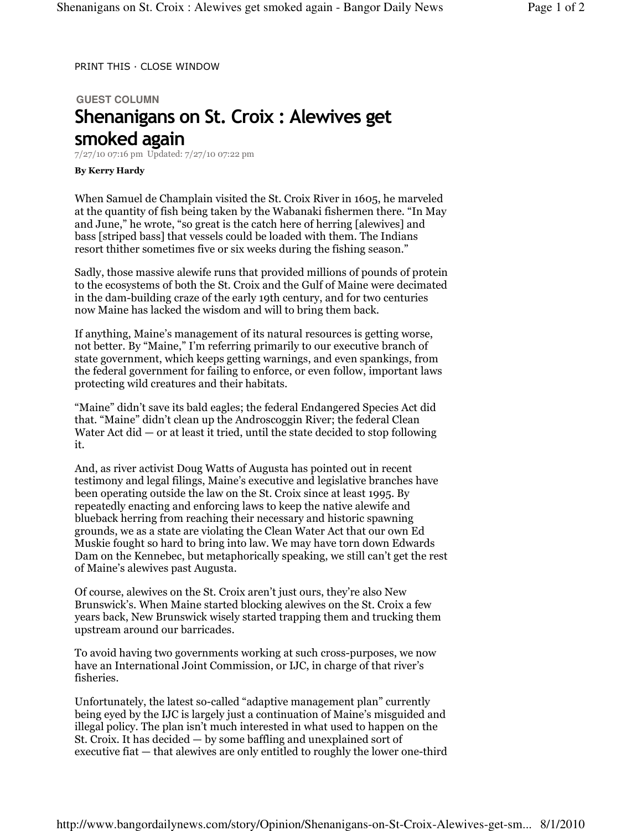PRINT THIS · CLOSE WINDOW

## **GUEST COLUMN**  Shenanigans on St. Croix : Alewives get smoked again

7/27/10 07:16 pm Updated: 7/27/10 07:22 pm

## By Kerry Hardy

When Samuel de Champlain visited the St. Croix River in 1605, he marveled at the quantity of fish being taken by the Wabanaki fishermen there. "In May and June," he wrote, "so great is the catch here of herring [alewives] and bass [striped bass] that vessels could be loaded with them. The Indians resort thither sometimes five or six weeks during the fishing season."

Sadly, those massive alewife runs that provided millions of pounds of protein to the ecosystems of both the St. Croix and the Gulf of Maine were decimated in the dam-building craze of the early 19th century, and for two centuries now Maine has lacked the wisdom and will to bring them back.

If anything, Maine's management of its natural resources is getting worse, not better. By "Maine," I'm referring primarily to our executive branch of state government, which keeps getting warnings, and even spankings, from the federal government for failing to enforce, or even follow, important laws protecting wild creatures and their habitats.

"Maine" didn't save its bald eagles; the federal Endangered Species Act did that. "Maine" didn't clean up the Androscoggin River; the federal Clean Water Act did  $-$  or at least it tried, until the state decided to stop following it.

And, as river activist Doug Watts of Augusta has pointed out in recent testimony and legal filings, Maine's executive and legislative branches have been operating outside the law on the St. Croix since at least 1995. By repeatedly enacting and enforcing laws to keep the native alewife and blueback herring from reaching their necessary and historic spawning grounds, we as a state are violating the Clean Water Act that our own Ed Muskie fought so hard to bring into law. We may have torn down Edwards Dam on the Kennebec, but metaphorically speaking, we still can't get the rest of Maine's alewives past Augusta.

Of course, alewives on the St. Croix aren't just ours, they're also New Brunswick's. When Maine started blocking alewives on the St. Croix a few years back, New Brunswick wisely started trapping them and trucking them upstream around our barricades.

To avoid having two governments working at such cross-purposes, we now have an International Joint Commission, or IJC, in charge of that river's fisheries.

Unfortunately, the latest so-called "adaptive management plan" currently being eyed by the IJC is largely just a continuation of Maine's misguided and illegal policy. The plan isn't much interested in what used to happen on the St. Croix. It has decided — by some baffling and unexplained sort of executive fiat — that alewives are only entitled to roughly the lower one-third